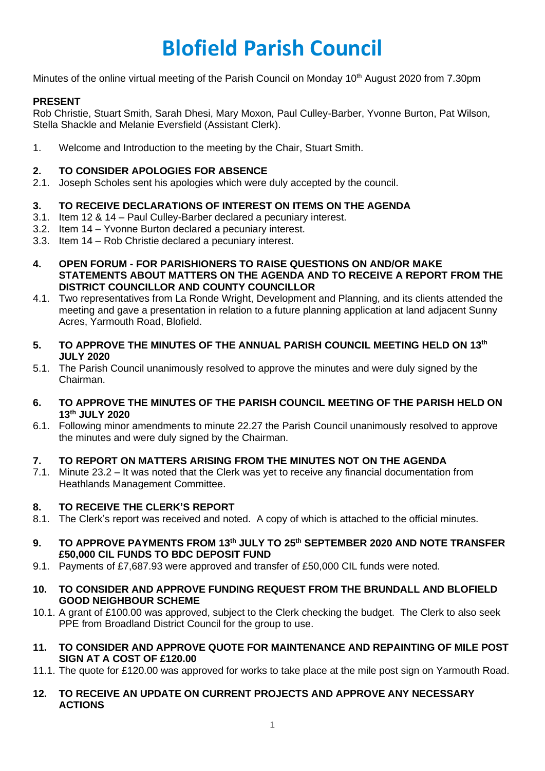# **Blofield Parish Council**

Minutes of the online virtual meeting of the Parish Council on Monday 10<sup>th</sup> August 2020 from 7.30pm

# **PRESENT**

Rob Christie, Stuart Smith, Sarah Dhesi, Mary Moxon, Paul Culley-Barber, Yvonne Burton, Pat Wilson, Stella Shackle and Melanie Eversfield (Assistant Clerk).

1. Welcome and Introduction to the meeting by the Chair, Stuart Smith.

# **2. TO CONSIDER APOLOGIES FOR ABSENCE**

2.1. Joseph Scholes sent his apologies which were duly accepted by the council.

# **3. TO RECEIVE DECLARATIONS OF INTEREST ON ITEMS ON THE AGENDA**

- 3.1. Item 12 & 14 Paul Culley-Barber declared a pecuniary interest.
- 3.2. Item 14 Yvonne Burton declared a pecuniary interest.
- 3.3. Item 14 Rob Christie declared a pecuniary interest.
- **4. OPEN FORUM - FOR PARISHIONERS TO RAISE QUESTIONS ON AND/OR MAKE STATEMENTS ABOUT MATTERS ON THE AGENDA AND TO RECEIVE A REPORT FROM THE DISTRICT COUNCILLOR AND COUNTY COUNCILLOR**
- 4.1. Two representatives from La Ronde Wright, Development and Planning, and its clients attended the meeting and gave a presentation in relation to a future planning application at land adjacent Sunny Acres, Yarmouth Road, Blofield.
- **5. TO APPROVE THE MINUTES OF THE ANNUAL PARISH COUNCIL MEETING HELD ON 13th JULY 2020**
- 5.1. The Parish Council unanimously resolved to approve the minutes and were duly signed by the Chairman.
- **6. TO APPROVE THE MINUTES OF THE PARISH COUNCIL MEETING OF THE PARISH HELD ON 13th JULY 2020**
- 6.1. Following minor amendments to minute 22.27 the Parish Council unanimously resolved to approve the minutes and were duly signed by the Chairman.

#### **7. TO REPORT ON MATTERS ARISING FROM THE MINUTES NOT ON THE AGENDA**

7.1. Minute 23.2 – It was noted that the Clerk was yet to receive any financial documentation from Heathlands Management Committee.

#### **8. TO RECEIVE THE CLERK'S REPORT**

- 8.1. The Clerk's report was received and noted. A copy of which is attached to the official minutes.
- **9. TO APPROVE PAYMENTS FROM 13th JULY TO 25th SEPTEMBER 2020 AND NOTE TRANSFER £50,000 CIL FUNDS TO BDC DEPOSIT FUND**
- 9.1. Payments of £7,687.93 were approved and transfer of £50,000 CIL funds were noted.
- **10. TO CONSIDER AND APPROVE FUNDING REQUEST FROM THE BRUNDALL AND BLOFIELD GOOD NEIGHBOUR SCHEME**
- 10.1. A grant of £100.00 was approved, subject to the Clerk checking the budget. The Clerk to also seek PPE from Broadland District Council for the group to use.
- **11. TO CONSIDER AND APPROVE QUOTE FOR MAINTENANCE AND REPAINTING OF MILE POST SIGN AT A COST OF £120.00**
- 11.1. The quote for £120.00 was approved for works to take place at the mile post sign on Yarmouth Road.
- **12. TO RECEIVE AN UPDATE ON CURRENT PROJECTS AND APPROVE ANY NECESSARY ACTIONS**